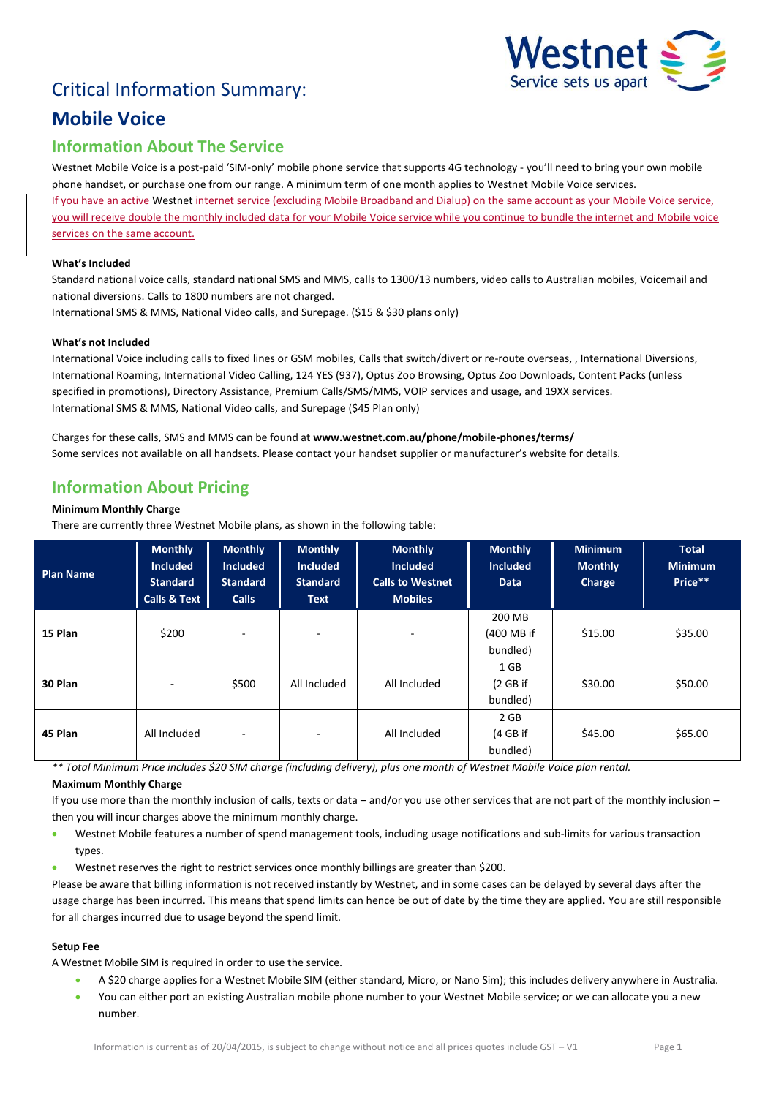# Critical Information Summary:



## **Mobile Voice**

## **Information About The Service**

Westnet Mobile Voice is a post-paid 'SIM-only' mobile phone service that supports 4G technology - you'll need to bring your own mobile phone handset, or purchase one from our range. A minimum term of one month applies to Westnet Mobile Voice services. If you have an active Westnet internet service (excluding Mobile Broadband and Dialup) on the same account as your Mobile Voice service, you will receive double the monthly included data for your Mobile Voice service while you continue to bundle the internet and Mobile voice services on the same account.

#### **What's Included**

Standard national voice calls, standard national SMS and MMS, calls to 1300/13 numbers, video calls to Australian mobiles, Voicemail and national diversions. Calls to 1800 numbers are not charged.

International SMS & MMS, National Video calls, and Surepage. (\$15 & \$30 plans only)

#### **What's not Included**

International Voice including calls to fixed lines or GSM mobiles, Calls that switch/divert or re-route overseas, , International Diversions, International Roaming, International Video Calling, 124 YES (937), Optus Zoo Browsing, Optus Zoo Downloads, Content Packs (unless specified in promotions), Directory Assistance, Premium Calls/SMS/MMS, VOIP services and usage, and 19XX services. International SMS & MMS, National Video calls, and Surepage (\$45 Plan only)

Charges for these calls, SMS and MMS can be found at **www.westnet.com.au/phone/mobile-phones/terms/** Some services not available on all handsets. Please contact your handset supplier or manufacturer's website for details.

## **Information About Pricing**

#### **Minimum Monthly Charge**

There are currently three Westnet Mobile plans, as shown in the following table:

| <b>Plan Name</b> | <b>Monthly</b><br><b>Included</b><br><b>Standard</b><br><b>Calls &amp; Text</b> | <b>Monthly</b><br><b>Included</b><br><b>Standard</b><br><b>Calls</b> | <b>Monthly</b><br><b>Included</b><br><b>Standard</b><br><b>Text</b> | <b>Monthly</b><br><b>Included</b><br><b>Calls to Westnet</b><br><b>Mobiles</b> | <b>Monthly</b><br><b>Included</b><br><b>Data</b> | <b>Minimum</b><br><b>Monthly</b><br>Charge | <b>Total</b><br><b>Minimum</b><br>Price** |
|------------------|---------------------------------------------------------------------------------|----------------------------------------------------------------------|---------------------------------------------------------------------|--------------------------------------------------------------------------------|--------------------------------------------------|--------------------------------------------|-------------------------------------------|
| 15 Plan          | \$200                                                                           | $\overline{\phantom{0}}$                                             | $\overline{\phantom{a}}$                                            | ۰                                                                              | 200 MB<br>(400 MB if<br>bundled)                 | \$15.00                                    | \$35.00                                   |
| 30 Plan          | ٠                                                                               | \$500                                                                | All Included                                                        | All Included                                                                   | 1 GB<br>(2 G <sub>B</sub> )<br>bundled)          | \$30.00                                    | \$50.00                                   |
| 45 Plan          | All Included                                                                    | $\overline{\phantom{0}}$                                             | ٠                                                                   | All Included                                                                   | 2 GB<br>(4 GB if<br>bundled)                     | \$45.00                                    | \$65.00                                   |

*\*\* Total Minimum Price includes \$20 SIM charge (including delivery), plus one month of Westnet Mobile Voice plan rental.*

#### **Maximum Monthly Charge**

If you use more than the monthly inclusion of calls, texts or data – and/or you use other services that are not part of the monthly inclusion – then you will incur charges above the minimum monthly charge.

- Westnet Mobile features a number of spend management tools, including usage notifications and sub-limits for various transaction types.
- Westnet reserves the right to restrict services once monthly billings are greater than \$200.

Please be aware that billing information is not received instantly by Westnet, and in some cases can be delayed by several days after the usage charge has been incurred. This means that spend limits can hence be out of date by the time they are applied. You are still responsible for all charges incurred due to usage beyond the spend limit.

#### **Setup Fee**

A Westnet Mobile SIM is required in order to use the service.

- A \$20 charge applies for a Westnet Mobile SIM (either standard, Micro, or Nano Sim); this includes delivery anywhere in Australia.
- You can either port an existing Australian mobile phone number to your Westnet Mobile service; or we can allocate you a new number.